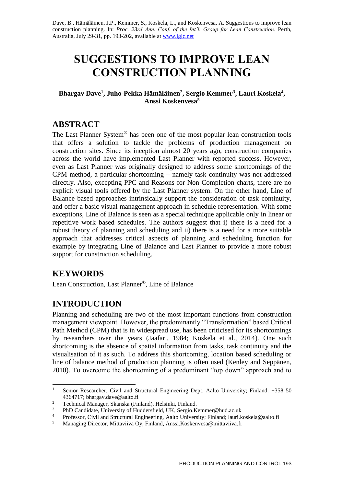Dave, B., Hämäläinen, J.P., Kemmer, S., Koskela, L., and Koskenvesa, A. Suggestions to improve lean construction planning. In: *Proc. 23rd Ann. Conf. of the Int'l. Group for Lean Construction*. Perth, Australia, July 29-31, pp. 193-202, available a[t www.iglc.net](http://www.iglc.net/)

# **SUGGESTIONS TO IMPROVE LEAN CONSTRUCTION PLANNING**

#### **Bhargav Dave<sup>1</sup> , Juho-Pekka Hämäläinen<sup>2</sup> , Sergio Kemmer<sup>3</sup> , Lauri Koskela<sup>4</sup> , Anssi Koskenvesa<sup>5</sup>**

# **ABSTRACT**

The Last Planner System® has been one of the most popular lean construction tools that offers a solution to tackle the problems of production management on construction sites. Since its inception almost 20 years ago, construction companies across the world have implemented Last Planner with reported success. However, even as Last Planner was originally designed to address some shortcomings of the CPM method, a particular shortcoming – namely task continuity was not addressed directly. Also, excepting PPC and Reasons for Non Completion charts, there are no explicit visual tools offered by the Last Planner system. On the other hand, Line of Balance based approaches intrinsically support the consideration of task continuity, and offer a basic visual management approach in schedule representation. With some exceptions, Line of Balance is seen as a special technique applicable only in linear or repetitive work based schedules. The authors suggest that i) there is a need for a robust theory of planning and scheduling and ii) there is a need for a more suitable approach that addresses critical aspects of planning and scheduling function for example by integrating Line of Balance and Last Planner to provide a more robust support for construction scheduling.

# **KEYWORDS**

Lean Construction, Last Planner®, Line of Balance

# **INTRODUCTION**

Planning and scheduling are two of the most important functions from construction management viewpoint. However, the predominantly "Transformation" based Critical Path Method (CPM) that is in widespread use, has been criticised for its shortcomings by researchers over the years (Jaafari, 1984; Koskela et al., 2014). One such shortcoming is the absence of spatial information from tasks, task continuity and the visualisation of it as such. To address this shortcoming, location based scheduling or line of balance method of production planning is often used (Kenley and Seppänen, 2010). To overcome the shortcoming of a predominant "top down" approach and to

 $\mathbf{1}$ <sup>1</sup> Senior Researcher, Civil and Structural Engineering Dept, Aalto University; Finland. +358 50 4364717; bhargav.dave@aalto.fi

<sup>2</sup> <sup>2</sup> Technical Manager, Skanska (Finland), Helsinki, Finland.

<sup>&</sup>lt;sup>3</sup> PhD Candidate, University of Huddersfield, UK, Sergio.Kemmer@hud.ac.uk<br><sup>4</sup> Professor, Civil and Structural Engineering, Aalto University: Finland: lauri k

<sup>&</sup>lt;sup>4</sup> Professor, Civil and Structural Engineering, Aalto University; Finland; lauri.koskela@aalto.fi<br><sup>5</sup> Menaging Director Mitterijus Ou, Finland, Angei Koskenyese@mitterijus fi

<sup>5</sup> Managing Director, Mittaviiva Oy, Finland, Anssi.Koskenvesa@mittaviiva.fi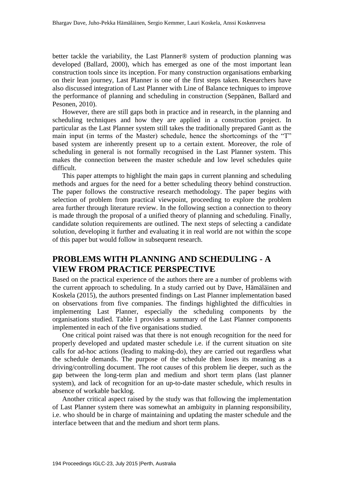better tackle the variability, the Last Planner® system of production planning was developed (Ballard, 2000), which has emerged as one of the most important lean construction tools since its inception. For many construction organisations embarking on their lean journey, Last Planner is one of the first steps taken. Researchers have also discussed integration of Last Planner with Line of Balance techniques to improve the performance of planning and scheduling in construction (Seppänen, Ballard and Pesonen, 2010).

However, there are still gaps both in practice and in research, in the planning and scheduling techniques and how they are applied in a construction project. In particular as the Last Planner system still takes the traditionally prepared Gantt as the main input (in terms of the Master) schedule, hence the shortcomings of the "T" based system are inherently present up to a certain extent. Moreover, the role of scheduling in general is not formally recognised in the Last Planner system. This makes the connection between the master schedule and low level schedules quite difficult.

This paper attempts to highlight the main gaps in current planning and scheduling methods and argues for the need for a better scheduling theory behind construction. The paper follows the constructive research methodology. The paper begins with selection of problem from practical viewpoint, proceeding to explore the problem area further through literature review. In the following section a connection to theory is made through the proposal of a unified theory of planning and scheduling. Finally, candidate solution requirements are outlined. The next steps of selecting a candidate solution, developing it further and evaluating it in real world are not within the scope of this paper but would follow in subsequent research.

## **PROBLEMS WITH PLANNING AND SCHEDULING - A VIEW FROM PRACTICE PERSPECTIVE**

Based on the practical experience of the authors there are a number of problems with the current approach to scheduling. In a study carried out by Dave, Hämäläinen and Koskela (2015), the authors presented findings on Last Planner implementation based on observations from five companies. The findings highlighted the difficulties in implementing Last Planner, especially the scheduling components by the organisations studied. Table 1 provides a summary of the Last Planner components implemented in each of the five organisations studied.

One critical point raised was that there is not enough recognition for the need for properly developed and updated master schedule i.e. if the current situation on site calls for ad-hoc actions (leading to making-do), they are carried out regardless what the schedule demands. The purpose of the schedule then loses its meaning as a driving/controlling document. The root causes of this problem lie deeper, such as the gap between the long-term plan and medium and short term plans (last planner system), and lack of recognition for an up-to-date master schedule, which results in absence of workable backlog.

Another critical aspect raised by the study was that following the implementation of Last Planner system there was somewhat an ambiguity in planning responsibility, i.e. who should be in charge of maintaining and updating the master schedule and the interface between that and the medium and short term plans.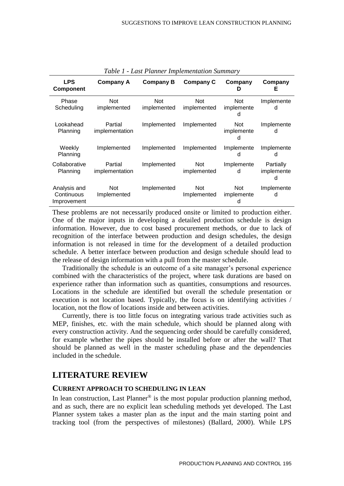| <b>LPS</b><br><b>Component</b>            | <b>Company A</b>          | Company B                 | <b>Company C</b>          | Company<br>D            | Company<br>Е                 |
|-------------------------------------------|---------------------------|---------------------------|---------------------------|-------------------------|------------------------------|
| Phase<br>Scheduling                       | <b>Not</b><br>implemented | <b>Not</b><br>implemented | <b>Not</b><br>implemented | Not.<br>implemente<br>d | Implemente<br>d              |
| Lookahead<br>Planning                     | Partial<br>implementation | Implemented               | Implemented               | Not<br>implemente<br>d  | Implemente<br>d              |
| Weekly<br>Planning                        | Implemented               | Implemented               | Implemented               | Implemente<br>d         | Implemente<br>d              |
| Collaborative<br>Planning                 | Partial<br>implementation | Implemented               | <b>Not</b><br>implemented | Implemente<br>d         | Partially<br>implemente<br>d |
| Analysis and<br>Continuous<br>Improvement | <b>Not</b><br>Implemented | Implemented               | Not.<br>Implemented       | Not.<br>implemente<br>n | Implemente<br>d              |

*Table 1 - Last Planner Implementation Summary*

These problems are not necessarily produced onsite or limited to production either. One of the major inputs in developing a detailed production schedule is design information. However, due to cost based procurement methods, or due to lack of recognition of the interface between production and design schedules, the design information is not released in time for the development of a detailed production schedule. A better interface between production and design schedule should lead to the release of design information with a pull from the master schedule.

Traditionally the schedule is an outcome of a site manager's personal experience combined with the characteristics of the project, where task durations are based on experience rather than information such as quantities, consumptions and resources. Locations in the schedule are identified but overall the schedule presentation or execution is not location based. Typically, the focus is on identifying activities / location, not the flow of locations inside and between activities.

Currently, there is too little focus on integrating various trade activities such as MEP, finishes, etc. with the main schedule, which should be planned along with every construction activity. And the sequencing order should be carefully considered, for example whether the pipes should be installed before or after the wall? That should be planned as well in the master scheduling phase and the dependencies included in the schedule.

### **LITERATURE REVIEW**

#### **CURRENT APPROACH TO SCHEDULING IN LEAN**

In lean construction, Last Planner<sup>®</sup> is the most popular production planning method, and as such, there are no explicit lean scheduling methods yet developed. The Last Planner system takes a master plan as the input and the main starting point and tracking tool (from the perspectives of milestones) (Ballard, 2000). While LPS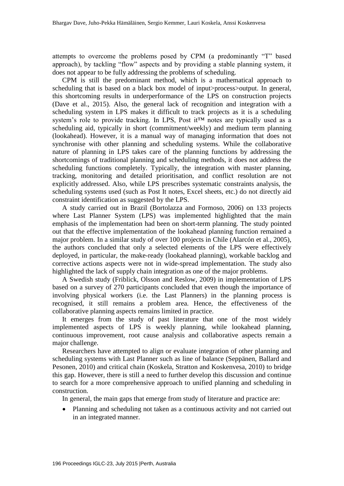attempts to overcome the problems posed by CPM (a predominantly "T" based approach), by tackling "flow" aspects and by providing a stable planning system, it does not appear to be fully addressing the problems of scheduling.

CPM is still the predominant method, which is a mathematical approach to scheduling that is based on a black box model of input>process>output. In general, this shortcoming results in underperformance of the LPS on construction projects (Dave et al., 2015). Also, the general lack of recognition and integration with a scheduling system in LPS makes it difficult to track projects as it is a scheduling system's role to provide tracking. In LPS, Post it™ notes are typically used as a scheduling aid, typically in short (commitment/weekly) and medium term planning (lookahead). However, it is a manual way of managing information that does not synchronise with other planning and scheduling systems. While the collaborative nature of planning in LPS takes care of the planning functions by addressing the shortcomings of traditional planning and scheduling methods, it does not address the scheduling functions completely. Typically, the integration with master planning, tracking, monitoring and detailed prioritisation, and conflict resolution are not explicitly addressed. Also, while LPS prescribes systematic constraints analysis, the scheduling systems used (such as Post It notes, Excel sheets, etc.) do not directly aid constraint identification as suggested by the LPS.

A study carried out in Brazil (Bortolazza and Formoso, 2006) on 133 projects where Last Planner System (LPS) was implemented highlighted that the main emphasis of the implementation had been on short-term planning. The study pointed out that the effective implementation of the lookahead planning function remained a major problem. In a similar study of over 100 projects in Chile (Alarcón et al., 2005), the authors concluded that only a selected elements of the LPS were effectively deployed, in particular, the make-ready (lookahead planning), workable backlog and corrective actions aspects were not in wide-spread implementation. The study also highlighted the lack of supply chain integration as one of the major problems.

A Swedish study (Friblick, Olsson and Reslow, 2009) in implementation of LPS based on a survey of 270 participants concluded that even though the importance of involving physical workers (i.e. the Last Planners) in the planning process is recognised, it still remains a problem area. Hence, the effectiveness of the collaborative planning aspects remains limited in practice.

It emerges from the study of past literature that one of the most widely implemented aspects of LPS is weekly planning, while lookahead planning, continuous improvement, root cause analysis and collaborative aspects remain a major challenge.

Researchers have attempted to align or evaluate integration of other planning and scheduling systems with Last Planner such as line of balance (Seppänen, Ballard and Pesonen, 2010) and critical chain (Koskela, Stratton and Koskenvesa, 2010) to bridge this gap. However, there is still a need to further develop this discussion and continue to search for a more comprehensive approach to unified planning and scheduling in construction.

In general, the main gaps that emerge from study of literature and practice are:

 Planning and scheduling not taken as a continuous activity and not carried out in an integrated manner.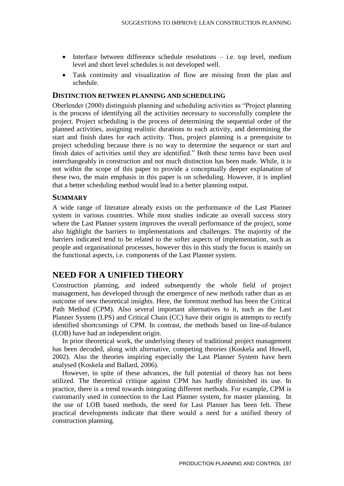- $\bullet$  Interface between difference schedule resolutions  $-$  i.e. top level, medium level and short level schedules is not developed well.
- Task continuity and visualization of flow are missing from the plan and schedule.

#### **DISTINCTION BETWEEN PLANNING AND SCHEDULING**

Oberlender (2000) distinguish planning and scheduling activities as "Project planning is the process of identifying all the activities necessary to successfully complete the project. Project scheduling is the process of determining the sequential order of the planned activities, assigning realistic durations to each activity, and determining the start and finish dates for each activity. Thus, project planning is a prerequisite to project scheduling because there is no way to determine the sequence or start and finish dates of activities until they are identified." Both these terms have been used interchangeably in construction and not much distinction has been made. While, it is not within the scope of this paper to provide a conceptually deeper explanation of these two, the main emphasis in this paper is on scheduling. However, it is implied that a better scheduling method would lead to a better planning output.

#### **SUMMARY**

A wide range of literature already exists on the performance of the Last Planner system in various countries. While most studies indicate an overall success story where the Last Planner system improves the overall performance of the project, some also highlight the barriers to implementations and challenges. The majority of the barriers indicated tend to be related to the softer aspects of implementation, such as people and organisational processes, however this in this study the focus is mainly on the functional aspects, i.e. components of the Last Planner system.

### **NEED FOR A UNIFIED THEORY**

Construction planning, and indeed subsequently the whole field of project management, has developed through the emergence of new methods rather than as an outcome of new theoretical insights. Here, the foremost method has been the Critical Path Method (CPM). Also several important alternatives to it, such as the Last Planner System (LPS) and Critical Chain (CC) have their origin in attempts to rectify identified shortcomings of CPM. In contrast, the methods based on line-of-balance (LOB) have had an independent origin.

In prior theoretical work, the underlying theory of traditional project management has been decoded, along with alternative, competing theories (Koskela and Howell, 2002). Also the theories inspiring especially the Last Planner System have been analysed (Koskela and Ballard, 2006).

However, in spite of these advances, the full potential of theory has not been utilized. The theoretical critique against CPM has hardly diminished its use. In practice, there is a trend towards integrating different methods. For example, CPM is customarily used in connection to the Last Planner system, for master planning. In the use of LOB based methods, the need for Last Planner has been felt. These practical developments indicate that there would a need for a unified theory of construction planning.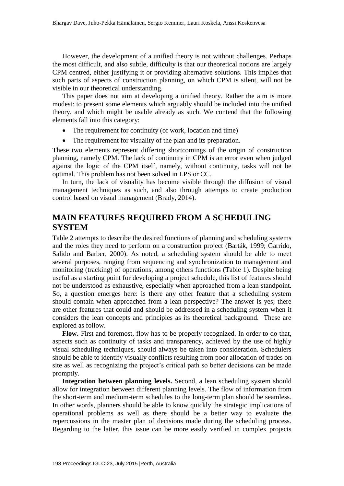However, the development of a unified theory is not without challenges. Perhaps the most difficult, and also subtle, difficulty is that our theoretical notions are largely CPM centred, either justifying it or providing alternative solutions. This implies that such parts of aspects of construction planning, on which CPM is silent, will not be visible in our theoretical understanding.

This paper does not aim at developing a unified theory. Rather the aim is more modest: to present some elements which arguably should be included into the unified theory, and which might be usable already as such. We contend that the following elements fall into this category:

- The requirement for continuity (of work, location and time)
- The requirement for visuality of the plan and its preparation.

These two elements represent differing shortcomings of the origin of construction planning, namely CPM. The lack of continuity in CPM is an error even when judged against the logic of the CPM itself, namely, without continuity, tasks will not be optimal. This problem has not been solved in LPS or CC.

In turn, the lack of visuality has become visible through the diffusion of visual management techniques as such, and also through attempts to create production control based on visual management (Brady, 2014).

## **MAIN FEATURES REQUIRED FROM A SCHEDULING SYSTEM**

Table 2 attempts to describe the desired functions of planning and scheduling systems and the roles they need to perform on a construction project (Barták, 1999; Garrido, Salido and Barber, 2000). As noted, a scheduling system should be able to meet several purposes, ranging from sequencing and synchronization to management and monitoring (tracking) of operations, among others functions (Table 1). Despite being useful as a starting point for developing a project schedule, this list of features should not be understood as exhaustive, especially when approached from a lean standpoint. So, a question emerges here: is there any other feature that a scheduling system should contain when approached from a lean perspective? The answer is yes; there are other features that could and should be addressed in a scheduling system when it considers the lean concepts and principles as its theoretical background. These are explored as follow.

**Flow.** First and foremost, flow has to be properly recognized. In order to do that, aspects such as continuity of tasks and transparency, achieved by the use of highly visual scheduling techniques, should always be taken into consideration. Schedulers should be able to identify visually conflicts resulting from poor allocation of trades on site as well as recognizing the project's critical path so better decisions can be made promptly.

**Integration between planning levels.** Second, a lean scheduling system should allow for integration between different planning levels. The flow of information from the short-term and medium-term schedules to the long-term plan should be seamless. In other words, planners should be able to know quickly the strategic implications of operational problems as well as there should be a better way to evaluate the repercussions in the master plan of decisions made during the scheduling process. Regarding to the latter, this issue can be more easily verified in complex projects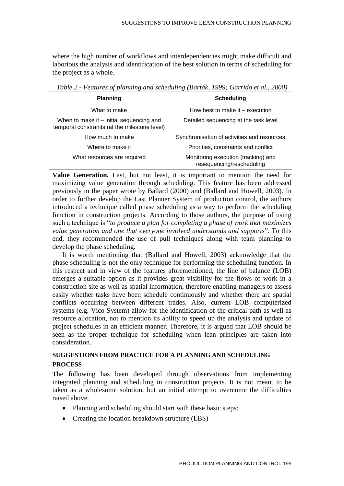where the high number of workflows and interdependencies might make difficult and laborious the analysis and identification of the best solution in terms of scheduling for the project as a whole.

| <b>Planning</b>                                                                           | <b>Scheduling</b>                                                |  |  |  |
|-------------------------------------------------------------------------------------------|------------------------------------------------------------------|--|--|--|
| What to make                                                                              | How best to make it – execution                                  |  |  |  |
| When to make it – initial sequencing and<br>temporal constraints (at the milestone level) | Detailed sequencing at the task level                            |  |  |  |
| How much to make                                                                          | Synchronisation of activities and resources                      |  |  |  |
| Where to make it                                                                          | Priorities, constraints and conflict                             |  |  |  |
| What resources are required                                                               | Monitoring execution (tracking) and<br>resequencing/rescheduling |  |  |  |

*Table 2 - Features of planning and scheduling (Barták, 1999; Garrido et al., 2000)*

**Value Generation.** Last, but not least, it is important to mention the need for maximizing value generation through scheduling. This feature has been addressed previously in the paper wrote by Ballard (2000) and (Ballard and Howell, 2003). In order to further develop the Last Planner System of production control, the authors introduced a technique called phase scheduling as a way to perform the scheduling function in construction projects. According to those authors, the purpose of using such a technique is "*to produce a plan for completing a phase of work that maximizes value generation and one that everyone involved understands and supports*". To this end, they recommended the use of pull techniques along with team planning to develop the phase scheduling.

It is worth mentioning that (Ballard and Howell, 2003) acknowledge that the phase scheduling is not the only technique for performing the scheduling function. In this respect and in view of the features aforementioned, the line of balance (LOB) emerges a suitable option as it provides great visibility for the flows of work in a construction site as well as spatial information, therefore enabling managers to assess easily whether tasks have been schedule continuously and whether there are spatial conflicts occurring between different trades. Also, current LOB computerized systems (e.g. Vico System) allow for the identification of the critical path as well as resource allocation, not to mention its ability to speed up the analysis and update of project schedules in an efficient manner. Therefore, it is argued that LOB should be seen as the proper technique for scheduling when lean principles are taken into consideration.

#### **SUGGESTIONS FROM PRACTICE FOR A PLANNING AND SCHEDULING PROCESS**

The following has been developed through observations from implementing integrated planning and scheduling in construction projects. It is not meant to be taken as a wholesome solution, but an initial attempt to overcome the difficulties raised above.

- Planning and scheduling should start with these basic steps:
- Creating the location breakdown structure (LBS)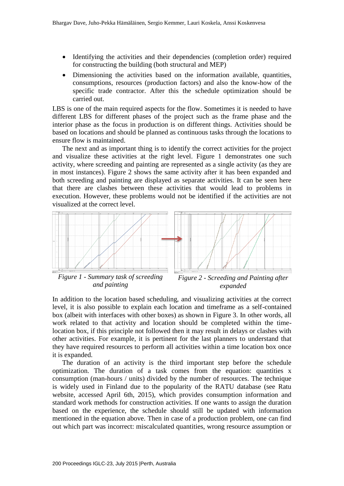- Identifying the activities and their dependencies (completion order) required for constructing the building (both structural and MEP)
- Dimensioning the activities based on the information available, quantities, consumptions, resources (production factors) and also the know-how of the specific trade contractor. After this the schedule optimization should be carried out.

LBS is one of the main required aspects for the flow. Sometimes it is needed to have different LBS for different phases of the project such as the frame phase and the interior phase as the focus in production is on different things. Activities should be based on locations and should be planned as continuous tasks through the locations to ensure flow is maintained.

The next and as important thing is to identify the correct activities for the project and visualize these activities at the right level. Figure 1 demonstrates one such activity, where screeding and painting are represented as a single activity (as they are in most instances). Figure 2 shows the same activity after it has been expanded and both screeding and painting are displayed as separate activities. It can be seen here that there are clashes between these activities that would lead to problems in execution. However, these problems would not be identified if the activities are not visualized at the correct level.





*Figure 1 - Summary task of screeding and painting*

*Figure 2 - Screeding and Painting after expanded*

In addition to the location based scheduling, and visualizing activities at the correct level, it is also possible to explain each location and timeframe as a self-contained box (albeit with interfaces with other boxes) as shown in Figure 3. In other words, all work related to that activity and location should be completed within the timelocation box, if this principle not followed then it may result in delays or clashes with other activities. For example, it is pertinent for the last planners to understand that they have required resources to perform all activities within a time location box once it is expanded.

The duration of an activity is the third important step before the schedule optimization. The duration of a task comes from the equation: quantities x consumption (man-hours / units) divided by the number of resources. The technique is widely used in Finland due to the popularity of the RATU database (see Ratu website, accessed April 6th, 2015), which provides consumption information and standard work methods for construction activities. If one wants to assign the duration based on the experience, the schedule should still be updated with information mentioned in the equation above. Then in case of a production problem, one can find out which part was incorrect: miscalculated quantities, wrong resource assumption or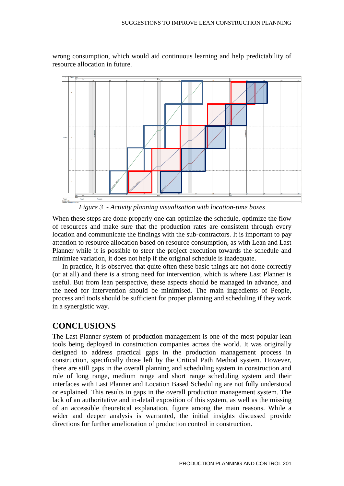

wrong consumption, which would aid continuous learning and help predictability of resource allocation in future.

*Figure 3 - Activity planning visualisation with location-time boxes*

When these steps are done properly one can optimize the schedule, optimize the flow of resources and make sure that the production rates are consistent through every location and communicate the findings with the sub-contractors. It is important to pay attention to resource allocation based on resource consumption, as with Lean and Last Planner while it is possible to steer the project execution towards the schedule and minimize variation, it does not help if the original schedule is inadequate.

In practice, it is observed that quite often these basic things are not done correctly (or at all) and there is a strong need for intervention, which is where Last Planner is useful. But from lean perspective, these aspects should be managed in advance, and the need for intervention should be minimised. The main ingredients of People, process and tools should be sufficient for proper planning and scheduling if they work in a synergistic way.

### **CONCLUSIONS**

The Last Planner system of production management is one of the most popular lean tools being deployed in construction companies across the world. It was originally designed to address practical gaps in the production management process in construction, specifically those left by the Critical Path Method system. However, there are still gaps in the overall planning and scheduling system in construction and role of long range, medium range and short range scheduling system and their interfaces with Last Planner and Location Based Scheduling are not fully understood or explained. This results in gaps in the overall production management system. The lack of an authoritative and in-detail exposition of this system, as well as the missing of an accessible theoretical explanation, figure among the main reasons. While a wider and deeper analysis is warranted, the initial insights discussed provide directions for further amelioration of production control in construction.